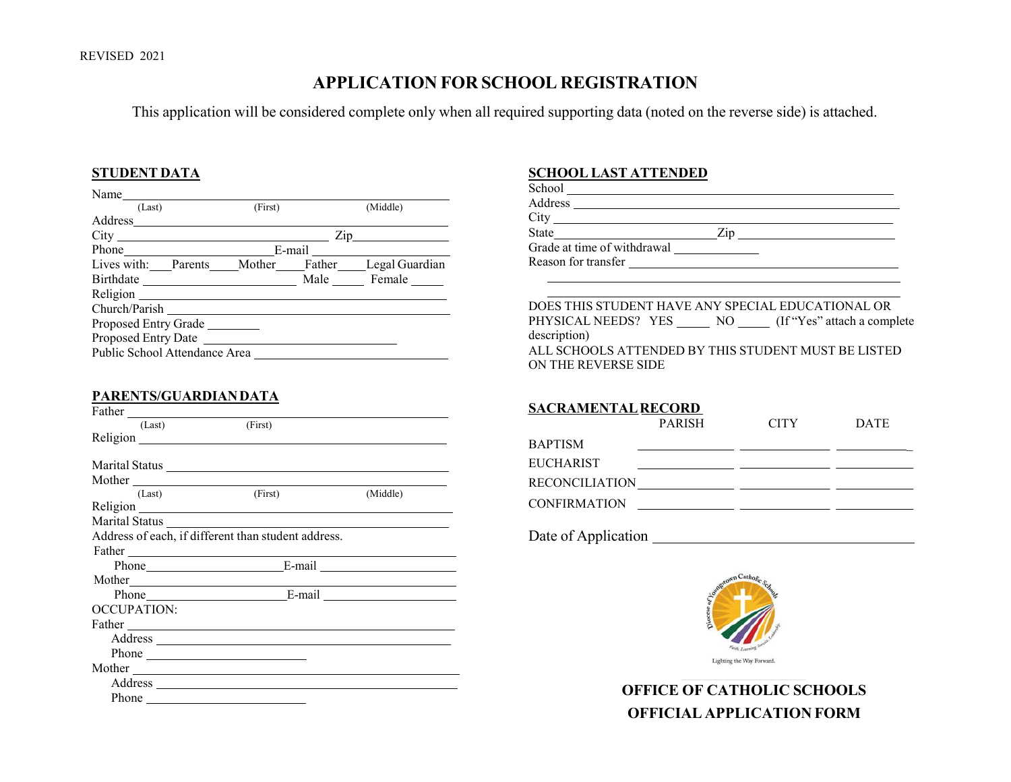## **APPLICATION FOR SCHOOL REGISTRATION**

This application will be considered complete only when all required supporting data (noted on the reverse side) is attached.

#### **STUDENT DATA**

| Name                                             |         |                  |
|--------------------------------------------------|---------|------------------|
| (Last)                                           | (First) | (Middle)         |
|                                                  |         |                  |
|                                                  |         | $\mathsf{Zip}\_$ |
| Phone E-mail E-mail                              |         |                  |
| Lives with: Parents Mother Father Legal Guardian |         |                  |
|                                                  |         | Male Female      |
|                                                  |         |                  |
| Church/Parish                                    |         |                  |
| Proposed Entry Grade                             |         |                  |
|                                                  |         |                  |
| Public School Attendance Area                    |         |                  |
|                                                  |         |                  |

#### **PARENTS/GUARDIANDATA**

| SACRAME          |          |                                                                                                                                                                                                                                      |             |
|------------------|----------|--------------------------------------------------------------------------------------------------------------------------------------------------------------------------------------------------------------------------------------|-------------|
|                  |          | (First)                                                                                                                                                                                                                              | (Last)      |
| BAPTISM          |          |                                                                                                                                                                                                                                      |             |
| <b>EUCHARIST</b> |          |                                                                                                                                                                                                                                      |             |
| <b>RECONCILL</b> |          |                                                                                                                                                                                                                                      |             |
|                  | (Middle) | (First)                                                                                                                                                                                                                              | (Last)      |
| <b>CONFIRMAT</b> |          |                                                                                                                                                                                                                                      |             |
|                  |          | Marital Status Later and Status Later and Status Later and Status Later and Status Later and Status Later and Status Later and Status Later and Status Later and Status Later and Status Later and Status Later and Status Lat       |             |
| Date of App      |          | Address of each, if different than student address.                                                                                                                                                                                  |             |
|                  |          | Father <u>the contract of the contract of the contract of the contract of the contract of the contract of the contract of the contract of the contract of the contract of the contract of the contract of the contract of the co</u> |             |
|                  |          | Phone E-mail E-mail                                                                                                                                                                                                                  |             |
|                  |          |                                                                                                                                                                                                                                      |             |
|                  |          | Phone E-mail E-mail                                                                                                                                                                                                                  |             |
|                  |          |                                                                                                                                                                                                                                      | OCCUPATION: |
|                  |          | Father The Communication of the Communication of the Communication of the Communication of the Communication of the Communication of the Communication of the Communication of the Communication of the Communication of the C       |             |
|                  |          |                                                                                                                                                                                                                                      |             |
|                  |          | Phone                                                                                                                                                                                                                                |             |
|                  |          | Mother                                                                                                                                                                                                                               |             |
|                  |          |                                                                                                                                                                                                                                      |             |
|                  |          |                                                                                                                                                                                                                                      |             |
|                  |          |                                                                                                                                                                                                                                      |             |

#### **SCHOOL LAST ATTENDED**

|                | School                      |  |
|----------------|-----------------------------|--|
| (Middle)       | Address                     |  |
|                | City                        |  |
| Zip            | State<br>7 <sub>1D</sub>    |  |
|                | Grade at time of withdrawal |  |
| Legal Guardian | Reason for transfer         |  |

DOES THIS STUDENT HAVE ANY SPECIAL EDUCATIONAL OR PHYSICAL NEEDS? YES \_\_\_\_\_\_ NO \_\_\_\_\_ (If "Yes" attach a complete description) ALL SCHOOLS ATTENDED BY THIS STUDENT MUST BE LISTED ON THE REVERSE SIDE

### **SACRAMENTALRECORD**

|                     | <b>PARISH</b> | <b>CITY</b> | <b>DATE</b> |
|---------------------|---------------|-------------|-------------|
| <b>BAPTISM</b>      |               |             |             |
| <b>EUCHARIST</b>    |               |             |             |
| RECONCILIATION      |               |             |             |
| <b>CONFIRMATION</b> |               |             |             |
| Date of Application |               |             |             |



Lighting the Way Forward.

**OFFICE OF CATHOLIC SCHOOLS OFFICIAL APPLICATION FORM**